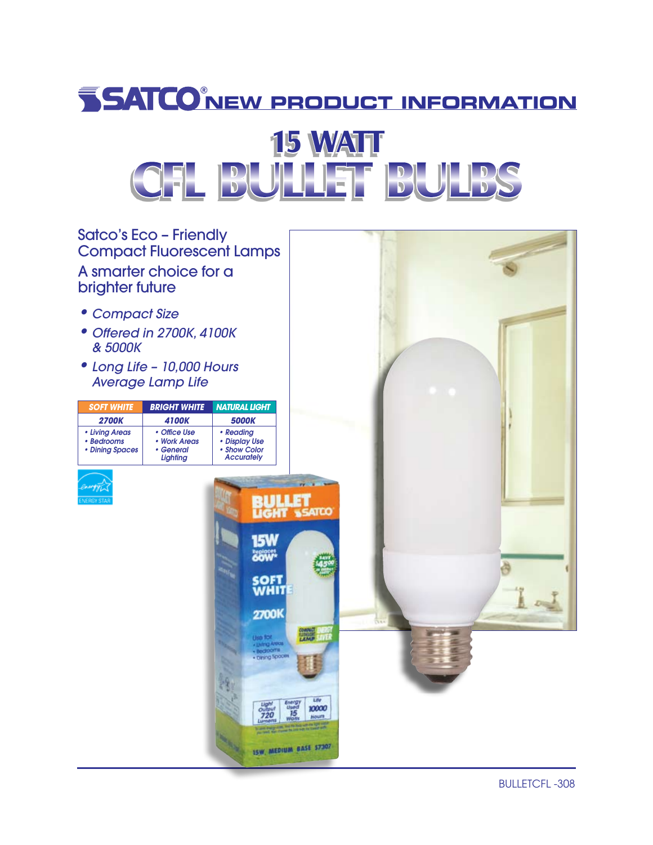## **NEW PRODUCT INFORMATION**